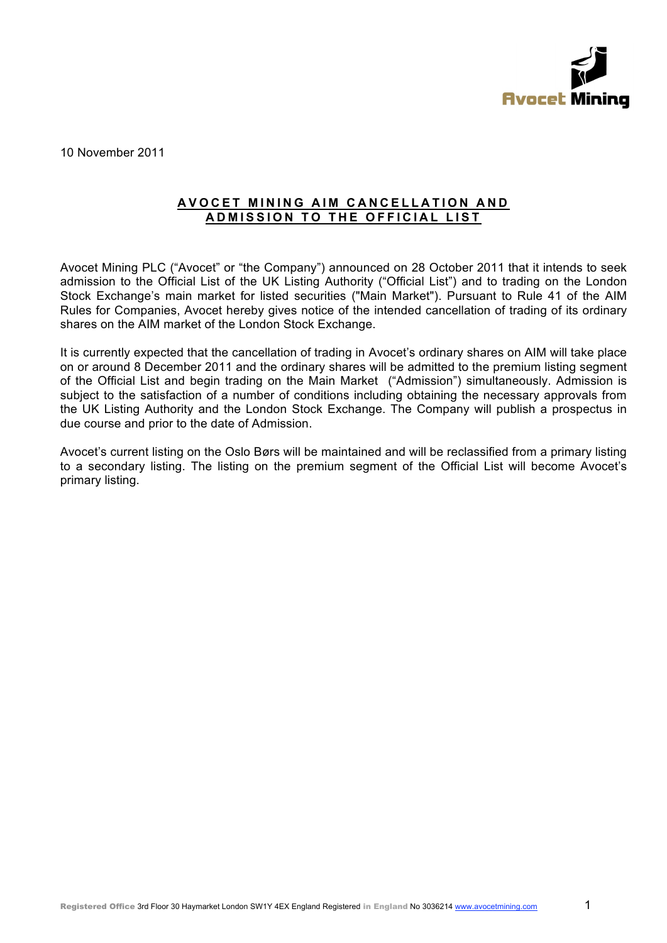

10 November 2011

## **AVOCET MINING AIM CANCELLATION AND ADMISSION TO THE OFFICIAL LIST**

Avocet Mining PLC ("Avocet" or "the Company") announced on 28 October 2011 that it intends to seek admission to the Official List of the UK Listing Authority ("Official List") and to trading on the London Stock Exchange's main market for listed securities ("Main Market"). Pursuant to Rule 41 of the AIM Rules for Companies, Avocet hereby gives notice of the intended cancellation of trading of its ordinary shares on the AIM market of the London Stock Exchange.

It is currently expected that the cancellation of trading in Avocet's ordinary shares on AIM will take place on or around 8 December 2011 and the ordinary shares will be admitted to the premium listing segment of the Official List and begin trading on the Main Market ("Admission") simultaneously. Admission is subject to the satisfaction of a number of conditions including obtaining the necessary approvals from the UK Listing Authority and the London Stock Exchange. The Company will publish a prospectus in due course and prior to the date of Admission.

Avocet's current listing on the Oslo Børs will be maintained and will be reclassified from a primary listing to a secondary listing. The listing on the premium segment of the Official List will become Avocet's primary listing.